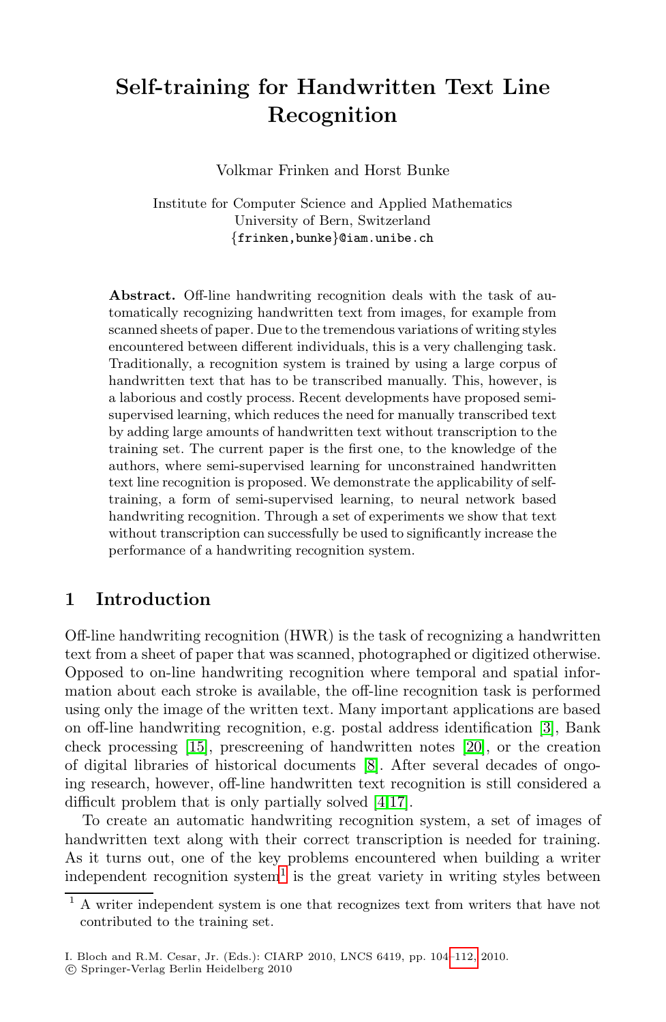# **Self-training for Handwritten Text Line Recognition**

Volkmar Frinken and Horst Bunke

Institute for Computer Science and Applied Mathematics University of Bern, Switzerland *{*frinken,bunke*}*@iam.unibe.ch

**Abstract.** Off-line handwriting recognition deals with the task of automatically recognizing handwritten text from images, for example from scanned sheets of paper. Due to the tremendous variations of writing styles encountered between different individuals, this is a very challenging task. Traditionally, a recognition system is trained by using a large corpus of handwritten text that has to be transcribed manually. This, however, is a laborious and costly process. Recent developments have proposed semisupervised learning, which reduces the need for manually transcribed text by adding large amounts of handwritten text without transcription to the training set. The current paper is the first one, to the knowledge of the authors, where semi-supervised learning for unconstrained handwritten text line recognition is proposed. We demonstrate the applicability of selftraining, a form of semi-supervised learning, to neural network based handwriting recognition. Through a set of experiments we show that text without transcription can successfully be used to significantly increase the performance of a handwriting recognition system.

## **[1](#page-8-0) Introduction**

Off-line handwriting reco[gni](#page-8-1)tion (HWR) is the task of recognizing a handwritten text from a sheet of paper t[ha](#page-7-0)[t w](#page-8-2)as scanned, photographed or digitized otherwise. Opposed to on-line handwriting recognition where temporal and spatial information about each stroke is available, the off-line recognition task is performed using only the image of the written text. Many important applications are based on off-line h[an](#page-0-0)dwriting recognition, e.g. postal address identification [3], Bank check processing [15], prescreening of handwritten notes [20], or the creation of digital libraries of historical documents [8]. After several decades of ongoing research, however, off-line handwritten text recognition is still considered a difficult problem that is only partially solved [4,17].

<span id="page-0-0"></span>To create an automatic handwriti[ng re](#page-8-3)cognition system, a set of images of handwritten text along with their correct transcription is needed for training. As it turns out, one of the key problems encountered when building a writer independent recognition system<sup>1</sup> is the great variety in writing styles between

<sup>1</sup> A writer independent system is one that recognizes text from writers that have not contributed to the training set.

I. Bloch and R.M. Cesar, Jr. (Eds.): CIARP 2010, LNCS 6419, pp. 104–112, 2010.

<sup>-</sup>c Springer-Verlag Berlin Heidelberg 2010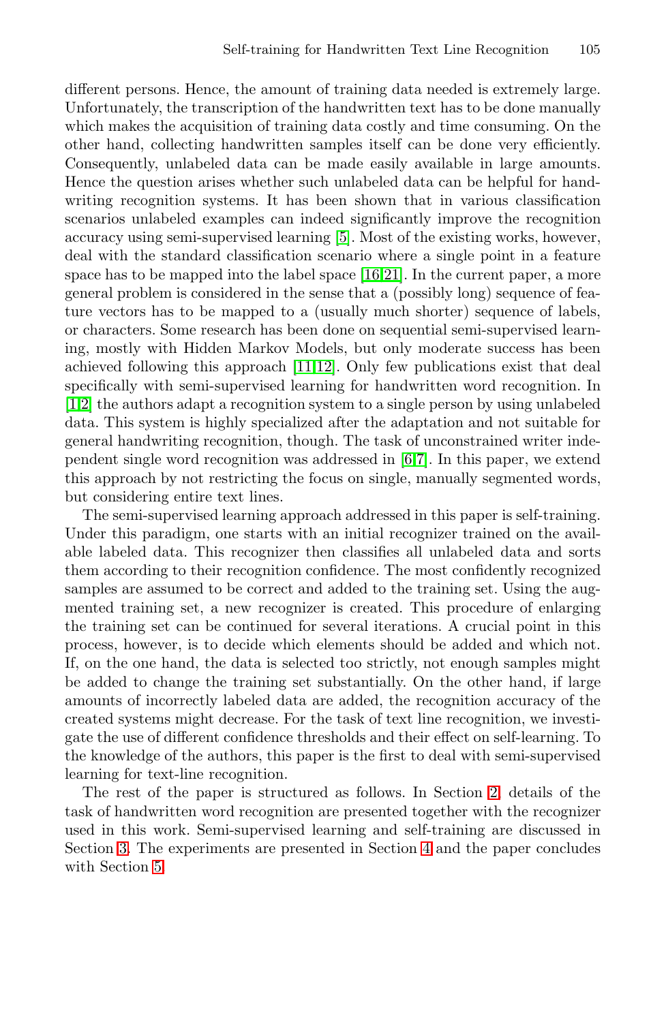different persons. He[nce](#page-7-1), the amount of training data needed is extremely large. Unfortunately, the transcription of the handwritten text has to be done manually which makes the acquisit[ion](#page-8-4) [of](#page-8-5) training data costly and time consuming. On the other hand, collecting handwritten samples itself can be done very efficiently. Consequently, unlabeled data can be made easily available in large amounts. Hence the question arises whether such unlabeled data can be helpful for handwriting recognition systems. It has been shown that in various classification scenarios unla[bele](#page-8-6)[d e](#page-8-7)xamples can indeed significantly improve the recognition accuracy using semi-supervised learning [5]. Most of the existing works, however, deal with the standard classification scenario where a single point in a feature space has to be mapped into the label space [16,21]. In the current paper, a more general problem is considered in the sense that a (possibly long) sequence of feature vectors has to be mapped [t](#page-8-8)[o](#page-8-9) a (usually much shorter) sequence of labels, or characters. Some research has been done on sequential semi-supervised learning, mostly with Hidden Markov Models, but only moderate success has been achieved following this approach [11,12]. Only few publications exist that deal specifically with semi-supervised learning for handwritten word recognition. In [1,2] the authors adapt a recognition system to a single person by using unlabeled data. This system is highly specialized after the adaptation and not suitable for general handwriting recognition, though. The task of unconstrained writer independent single word recognition was addressed in [6,7]. In this paper, we extend this approach by not restricting the focus on single, manually segmented words, but considering entire text lines.

The semi-supervised learning approach addressed in this paper is self-training. Under this paradigm, one starts with an initial recognizer trained on the available labeled data. This recognizer then classifies all unlabeled data and sorts them according to their recognition confidence. The most confidently recognized samples are assumed to be correct and added to the training set. Using the augmented training set, a new recognizer is created. This procedure of enlarging the training set can be continued for several iterations. A crucial point in this process, however, is to decide which eleme[nts](#page-2-0) should be added and which not. If, on the one hand, the data is selected too strictly, not enough samples might be added to change the training set substantially. On the other hand, if large amounts of incorrectly labeled da[ta](#page-5-0) are added, the recognition accuracy of the created systems might decrease. For the task of text line recognition, we investigate the use of different confidence thresholds and their effect on self-learning. To the knowledge of the authors, this paper is the first to deal with semi-supervised learning for text-line recognition.

The rest of the paper is structured as follows. In Section 2, details of the task of handwritten word recognition are presented together with the recognizer used in this work. Semi-supervised learning and self-training are discussed in Section 3. The experiments are presented in Section 4 and the paper concludes with Section 5.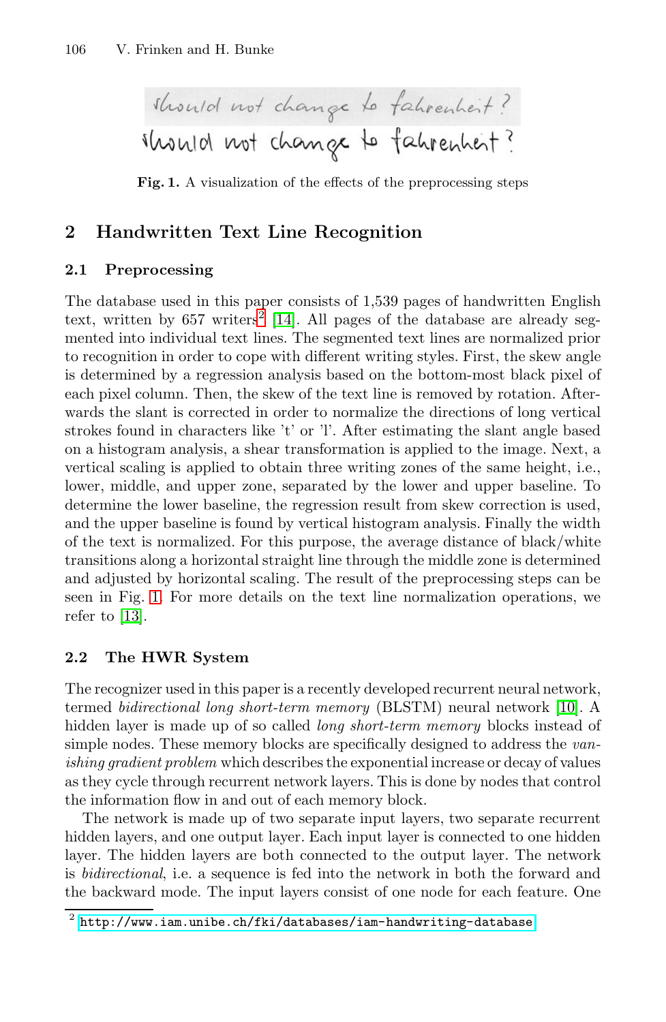<span id="page-2-0"></span>should not change to fahrenheit? should not change to fahrenheit?

**Fig. 1.** A visualization of the effects of the preprocessing steps

## **2 Handwritten Text Line Recognition**

#### **2.1 Preprocessing**

The database used in this paper consists of 1,539 pages of handwritten English text, written by  $657$  writers<sup>2</sup> [14]. All pages of the database are already segmented into individual text lines. The segmented text lines are normalized prior to recognition in order to cope with different writing styles. First, the skew angle is determined by a regression analysis based on the bottom-most black pixel of each pixel column. Then, the skew of the text line is removed by rotation. Afterwards the slant is corrected in order to normalize the directions of long vertical strokes found in characters like 't' or 'l'. After estimating the slant angle based on a histogram analysis, a shear transformation is applied to the image. Next, a vertical scaling is applied to obtain three writing zones of the same height, i.e., lower, middle, and upper zone, separated by the lower and upper baseline. To determine the lower baseline, the regression result from skew correction is used, and the upper baseline is found by vertical histogram analysis. Finally the width of the text is normalized. For this purpose, the average distance of black/white transitions along a horizontal straight line through the [mid](#page-8-10)dle zone is determined and adjusted by horizontal scaling. The result of the preprocessing steps can be seen in Fig. 1. For more details on the text line normalization operations, we refer to [13].

## **2.2 The HWR System**

The recognizer used in this paper is a recently developed recurrent neural network, termed *bidirectional long short-term memory* (BLSTM) neural network [10]. A hidden layer is made up of so called *long short-term memory* blocks instead of simple nodes. These memory blocks are specifically designed to address the *vanishing gradient problem* which describes the exponential increase or decay of values [as they cycle through recurrent network layers. This](http://www.iam.unibe.ch/fki/databases/iam-handwriting-database) is done by nodes that control the information flow in and out of each memory block.

The network is made up of two separate input layers, two separate recurrent hidden layers, and one output layer. Each input layer is connected to one hidden layer. The hidden layers are both connected to the output layer. The network is *bidirectional*, i.e. a sequence is fed into the network in both the forward and the backward mode. The input layers consist of one node for each feature. One

 $^{2}$  http://www.iam.unibe.ch/fki/databases/iam-handwriting-database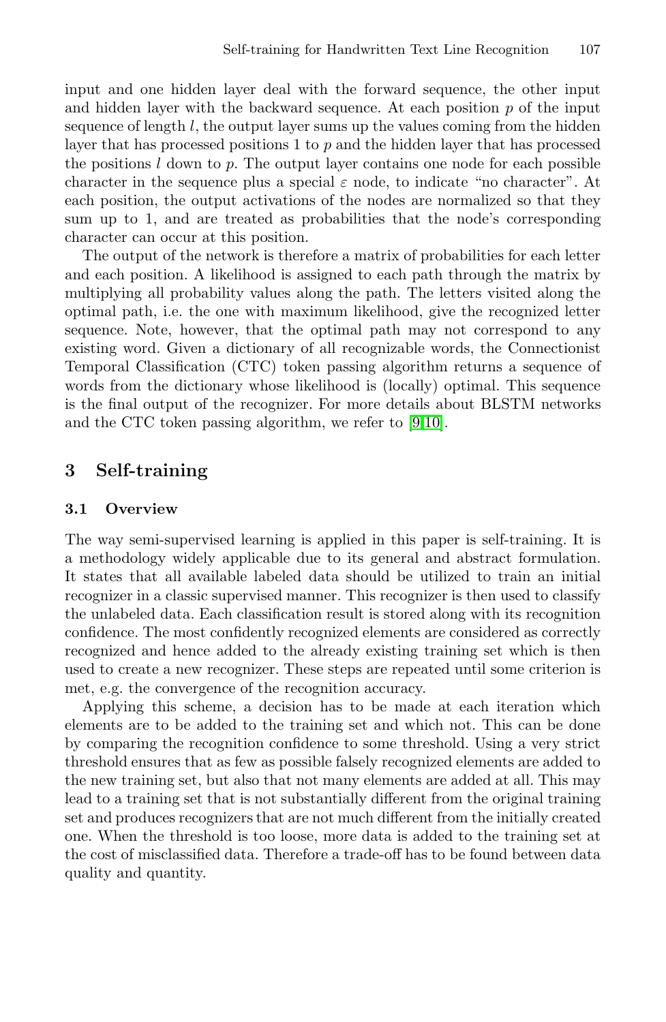input and one hidden layer deal with the forward sequence, the other input and hidden layer with the backward sequence. At each position  $p$  of the input sequence of length  $l$ , the output layer sums up the values coming from the hidden layer that has processed positions 1 to p and the hidden layer that has processed the positions  $l$  down to  $p$ . The output layer contains one node for each possible character in the sequence plus a special  $\varepsilon$  node, to indicate "no character". At each position, the output activations of the nodes are normalized so that they sum up to 1, and are treated as probabilities that the node's corresponding character can occur at this position.

The output of the network is therefore a matrix of probabilities for each letter and each position. A likelihood [is](#page-8-11) [ass](#page-8-10)igned to each path through the matrix by multiplying all probability values along the path. The letters visited along the optimal path, i.e. the one with maximum likelihood, give the recognized letter sequence. Note, however, that the optimal path may not correspond to any existing word. Given a dictionary of all recognizable words, the Connectionist Temporal Classification (CTC) token passing algorithm returns a sequence of words from the dictionary whose likelihood is (locally) optimal. This sequence is the final output of the recognizer. For more details about BLSTM networks and the CTC token passing algorithm, we refer to [9,10].

## **3 Self-training**

### **3.1 Overview**

The way semi-supervised learning is applied in this paper is self-training. It is a methodology widely applicable due to its general and abstract formulation. It states that all available labeled data should be utilized to train an initial recognizer in a classic supervised manner. This recognizer is then used to classify the unlabeled data. Each classification result is stored along with its recognition confidence. The most confidently recognized elements are considered as correctly recognized and hence added to the already existing training set which is then used to create a new recognizer. These steps are repeated until some criterion is met, e.g. the convergence of the recognition accuracy.

Applying this scheme, a decision has to be made at each iteration which elements are to be added to the training set and which not. This can be done by comparing the recognition confidence to some threshold. Using a very strict threshold ensures that as few as possible falsely recognized elements are added to the new training set, but also that not many elements are added at all. This may lead to a training set that is not substantially different from the original training set and produces recognizers that are not much different from the initially created one. When the threshold is too loose, more data is added to the training set at the cost of misclassified data. Therefore a trade-off has to be found between data quality and quantity.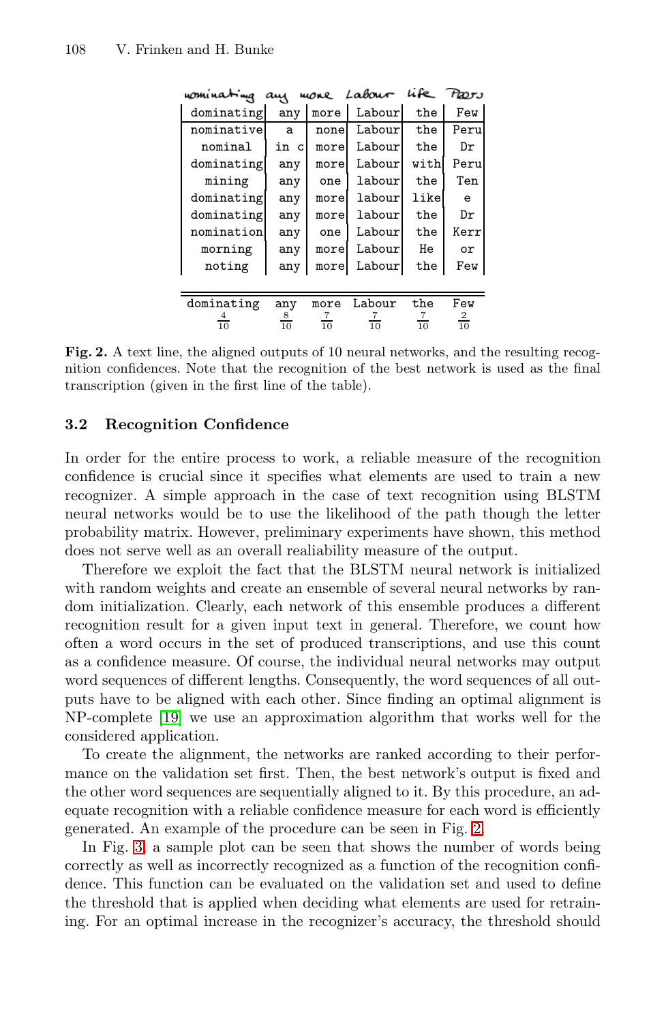| uominating      | auj  |                 | more Labour     |                 | life Parr       |
|-----------------|------|-----------------|-----------------|-----------------|-----------------|
| dominating      | any  | more            | Labour          | the             | Few             |
| nominative      | a    | none            | Labour          | the             | Peru            |
| nominal         | in c | more            | Labour          | the             | Dr              |
| dominating      | any  | more            | Labour          | with            | Peru            |
| mining          | any  | one             | labour          | the             | Ten             |
| dominating      | any  | more            | labour          | like            | e               |
| dominating      | any  | more            | labour          | the             | Dr              |
| nomination      | any  | one             | Labour          | the             | Kerr            |
| morning         | any  | more            | Labour          | He              | or              |
| noting          | any  | more            | Labour          | the             | Few             |
|                 |      |                 |                 |                 |                 |
| dominating      | any  | more            | Labour          | the             | Few             |
| $\overline{10}$ | 10   | $\overline{10}$ | $\overline{10}$ | $\overline{10}$ | $\overline{10}$ |

<span id="page-4-0"></span>**Fig. 2.** A text line, the aligned outputs of 10 neural networks, and the resulting recognition confidences. Note that the recognition of the best network is used as the final transcription (given in the first line of the table).

## **3.2 Recognition Confidence**

In order for the entire process to work, a reliable measure of the recognition confidence is crucial since it specifies what elements are used to train a new recognizer. A simple approach in the case of text recognition using BLSTM neural networks would be to use the likelihood of the path though the letter probability matrix. However, preliminary experiments have shown, this method does not serve well as an overall realiability measure of the output.

Therefore we exploit the fact that the BLSTM neural network is initialized with random weights and create an ensemble of several neural networks by random initialization. Clearly, each network of this ensemble produces a different recognition result for a given input text in general. Therefore, we count how often a word occurs in the set of produced transcriptions, and use this count as a confidence measure. Of course, the individual neural networks may output word sequences of different lengths. Cons[equ](#page-4-0)ently, the word sequences of all outputs have to be aligned with each other. Since finding an optimal alignment is NP-complete [19] we use an approximation algorithm that works well for the considered application.

To create the alignment, the networks are ranked according to their performance on the validation set first. Then, the best network's output is fixed and the other word sequences are sequentially aligned to it. By this procedure, an adequate recognition with a reliable confidence measure for each word is efficiently generated. An example of the procedure can be seen in Fig. 2.

In Fig. 3, a sample plot can be seen that shows the number of words being correctly as well as incorrectly recognized as a function of the recognition confidence. This function can be evaluated on the validation set and used to define the threshold that is applied when deciding what elements are used for retraining. For an optimal increase in the recognizer's accuracy, the threshold should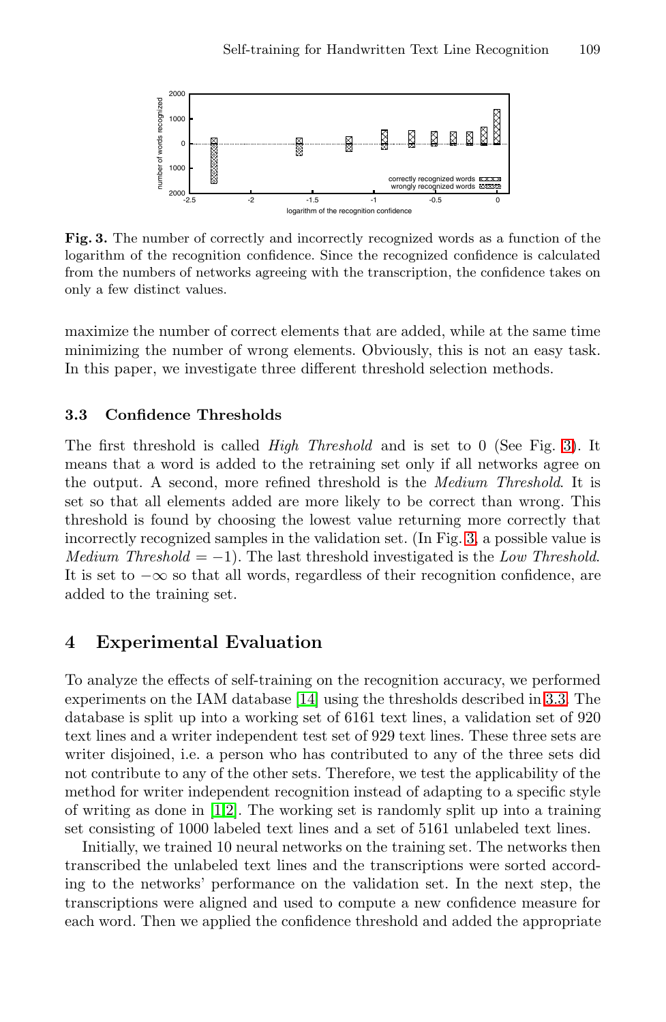

<span id="page-5-1"></span>**Fig. 3.** The number of correctly and incorrectly recognized words as a function of the logarithm of the recognition confidence. Since the recognized confidence is calculated from the numbers of networks agreeing with the transcription, the confidence takes on only a few distinct values.

maximize the number of correct elements that are added, while at the same time minimizing the number of wrong elements. Obviously, this is not an easy task. In this paper, we investigate three different threshold selection methods.

### **3.3 Confidence Thresholds**

<span id="page-5-0"></span>The first threshold is called *High Threshold* and is set to 0 (See Fig. 3). It means that a word is added to the retraining set only if all networks agree on the output. A second, more refined threshold is the *Medium Threshold*. It is set so that all elements added are more likely to be correct than wrong. This threshold is found by choosing the lowest value returning more correctly that incorrectly recognized samples in the validation set. (In Fig. 3, a possible value is *Medium Thres[hold](#page-8-12)* = −1). The last threshold invest[igate](#page-5-1)d is the *Low Threshold*. It is set to  $-\infty$  so that all words, regardless of their recognition confidence, are added to the training set.

## **4 Experimental Evaluation**

To [a](#page-7-2)[na](#page-7-3)lyze the effects of self-training on the recognition accuracy, we performed experiments on the IAM database [14] using the thresholds described in 3.3. The database is split up into a working set of 6161 text lines, a validation set of 920 text lines and a writer independent test set of 929 text lines. These three sets are writer disjoined, i.e. a person who has contributed to any of the three sets did not contribute to any of the other sets. Therefore, we test the applicability of the method for writer independent recognition instead of adapting to a specific style of writing as done in [1,2]. The working set is randomly split up into a training set consisting of 1000 labeled text lines and a set of 5161 unlabeled text lines.

Initially, we trained 10 neural networks on the training set. The networks then transcribed the unlabeled text lines and the transcriptions were sorted according to the networks' performance on the validation set. In the next step, the transcriptions were aligned and used to compute a new confidence measure for each word. Then we applied the confidence threshold and added the appropriate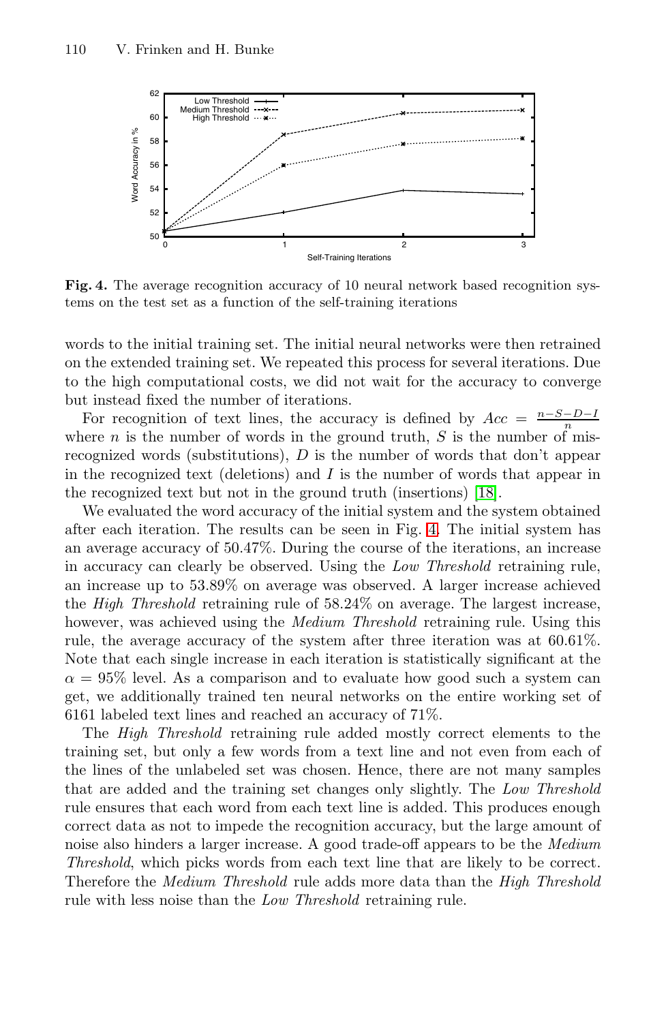<span id="page-6-0"></span>

**Fig. 4.** The average recognition accuracy of 10 neural network based recognition systems on the test set as a function of the self-training iterations

words to the initial training set. The initi[al ne](#page-8-13)ural networks were then retrained on the extended training set. We repeated this process for several iterations. Due to the high computational costs, [we](#page-6-0) did not wait for the accuracy to converge but instead fixed the number of iterations.

For recognition of text lines, the accuracy is defined by  $Acc = \frac{n-S-D-1}{n}$ where  $n$  is the number of words in the ground truth,  $S$  is the number of misrecognized words (substitutions),  $D$  is the number of words that don't appear in the recognized text (deletions) and  $I$  is the number of words that appear in the recognized text but not in the ground truth (insertions) [18].

We evaluated the word accuracy of the initial system and the system obtained after each iteration. The results can be seen in Fig. 4. The initial system has an average accuracy of 50.47%. During the course of the iterations, an increase in accuracy can clearly be observed. Using the *Low Threshold* retraining rule, an increase up to 53.89% on average was observed. A larger increase achieved the *High Threshold* retraining rule of 58.24% on average. The largest increase, however, was achieved using the *Medium Threshold* retraining rule. Using this rule, the average accuracy of the system after three iteration was at 60.61%. Note that each single increase in each iteration is statistically significant at the  $\alpha = 95\%$  level. As a comparison and to evaluate how good such a system can get, we additionally trained ten neural networks on the entire working set of 6161 labeled text lines and reached an accuracy of 71%.

The *High Threshold* retraining rule added mostly correct elements to the training set, but only a few words from a text line and not even from each of the lines of the unlabeled set was chosen. Hence, there are not many samples that are added and the training set changes only slightly. The *Low Threshold* rule ensures that each word from each text line is added. This produces enough correct data as not to impede the recognition accuracy, but the large amount of noise also hinders a larger increase. A good trade-off appears to be the *Medium Threshold*, which picks words from each text line that are likely to be correct. Therefore the *Medium Threshold* rule adds more data than the *High Threshold* rule with less noise than the *Low Threshold* retraining rule.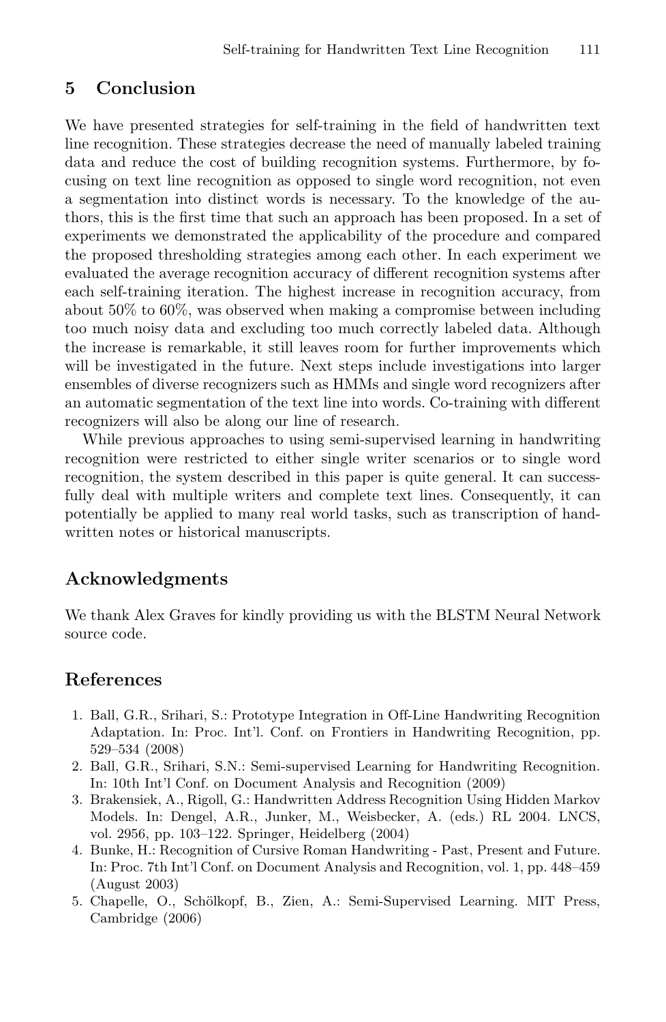# **5 Conclusion**

We have presented strategies for self-training in the field of handwritten text line recognition. These strategies decrease the need of manually labeled training data and reduce the cost of building recognition systems. Furthermore, by focusing on text line recognition as opposed to single word recognition, not even a segmentation into distinct words is necessary. To the knowledge of the authors, this is the first time that such an approach has been proposed. In a set of experiments we demonstrated the applicability of the procedure and compared the proposed thresholding strategies among each other. In each experiment we evaluated the average recognition accuracy of different recognition systems after each self-training iteration. The highest increase in recognition accuracy, from about 50% to 60%, was observed when making a compromise between including too much noisy data and excluding too much correctly labeled data. Although the increase is remarkable, it still leaves room for further improvements which will be investigated in the future. Next steps include investigations into larger ensembles of diverse recognizers such as HMMs and single word recognizers after an automatic segmentation of the text line into words. Co-training with different recognizers will also be along our line of research.

While previous approaches to using semi-supervised learning in handwriting recognition were restricted to either single writer scenarios or to single word recognition, the system described in this paper is quite general. It can successfully deal with multiple writers and complete text lines. Consequently, it can potentially be applied to many real world tasks, such as transcription of handwritten notes or historical manuscripts.

# **Acknowledgments**

We thank Alex Graves for kindly providing us with the BLSTM Neural Network source code.

# <span id="page-7-2"></span>**References**

- 1. Ball, G.R., Srihari, S.: Prototype Integration in Off-Line Handwriting Recognition Adaptation. In: Proc. Int'l. Conf. on Frontiers in Handwriting Recognition, pp. 529–534 (2008)
- <span id="page-7-3"></span>2. Ball, G.R., Srihari, S.N.: Semi-supervised Learning for Handwriting Recognition. In: 10th Int'l Conf. on Document Analysis and Recognition (2009)
- 3. Brakensiek, A., Rigoll, G.: Handwritten Address Recognition Using Hidden Markov Models. In: Dengel, A.R., Junker, M., Weisbecker, A. (eds.) RL 2004. LNCS, vol. 2956, pp. 103–122. Springer, Heidelberg (2004)
- <span id="page-7-0"></span>4. Bunke, H.: Recognition of Cursive Roman Handwriting - Past, Present and Future. In: Proc. 7th Int'l Conf. on Document Analysis and Recognition, vol. 1, pp. 448–459 (August 2003)
- <span id="page-7-1"></span>5. Chapelle, O., Schölkopf, B., Zien, A.: Semi-Supervised Learning. MIT Press, Cambridge (2006)